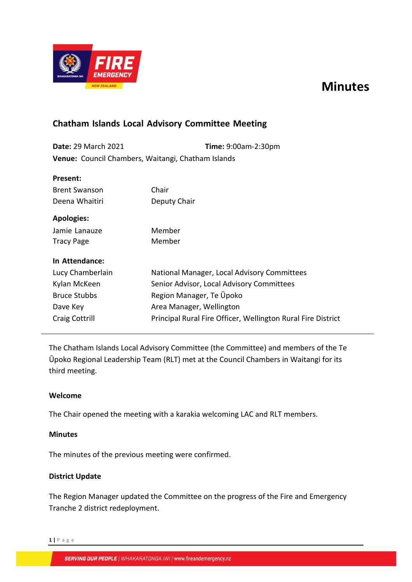# **Minutes**



# **Chatham Islands Local Advisory Committee Meeting**

**Date:** 29 March 2021 **Time:** 9:00am-2:30pm **Venue:** Council Chambers, Waitangi, Chatham Islands

| Present:             |                                                              |  |
|----------------------|--------------------------------------------------------------|--|
| <b>Brent Swanson</b> | Chair                                                        |  |
| Deena Whaitiri       | Deputy Chair                                                 |  |
| <b>Apologies:</b>    |                                                              |  |
| Jamie Lanauze        | Member                                                       |  |
| <b>Tracy Page</b>    | Member                                                       |  |
| In Attendance:       |                                                              |  |
| Lucy Chamberlain     | National Manager, Local Advisory Committees                  |  |
| Kylan McKeen         | Senior Advisor, Local Advisory Committees                    |  |
| <b>Bruce Stubbs</b>  | Region Manager, Te Upoko                                     |  |
| Dave Key             | Area Manager, Wellington                                     |  |
| Craig Cottrill       | Principal Rural Fire Officer, Wellington Rural Fire District |  |

The Chatham Islands Local Advisory Committee (the Committee) and members of the Te Ūpoko Regional Leadership Team (RLT) met at the Council Chambers in Waitangi for its third meeting.

# **Welcome**

The Chair opened the meeting with a karakia welcoming LAC and RLT members.

# **Minutes**

The minutes of the previous meeting were confirmed.

# **District Update**

The Region Manager updated the Committee on the progress of the Fire and Emergency Tranche 2 district redeployment.

**1 |** P a g e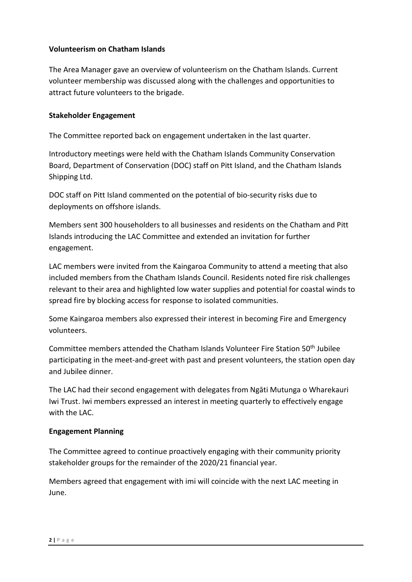# **Volunteerism on Chatham Islands**

The Area Manager gave an overview of volunteerism on the Chatham Islands. Current volunteer membership was discussed along with the challenges and opportunities to attract future volunteers to the brigade.

#### **Stakeholder Engagement**

The Committee reported back on engagement undertaken in the last quarter.

Introductory meetings were held with the Chatham Islands Community Conservation Board, Department of Conservation (DOC) staff on Pitt Island, and the Chatham Islands Shipping Ltd.

DOC staff on Pitt Island commented on the potential of bio-security risks due to deployments on offshore islands.

Members sent 300 householders to all businesses and residents on the Chatham and Pitt Islands introducing the LAC Committee and extended an invitation for further engagement.

LAC members were invited from the Kaingaroa Community to attend a meeting that also included members from the Chatham Islands Council. Residents noted fire risk challenges relevant to their area and highlighted low water supplies and potential for coastal winds to spread fire by blocking access for response to isolated communities.

Some Kaingaroa members also expressed their interest in becoming Fire and Emergency volunteers.

Committee members attended the Chatham Islands Volunteer Fire Station 50th Jubilee participating in the meet-and-greet with past and present volunteers, the station open day and Jubilee dinner.

The LAC had their second engagement with delegates from Ngāti Mutunga o Wharekauri Iwi Trust. Iwi members expressed an interest in meeting quarterly to effectively engage with the LAC.

#### **Engagement Planning**

The Committee agreed to continue proactively engaging with their community priority stakeholder groups for the remainder of the 2020/21 financial year.

Members agreed that engagement with imi will coincide with the next LAC meeting in June.